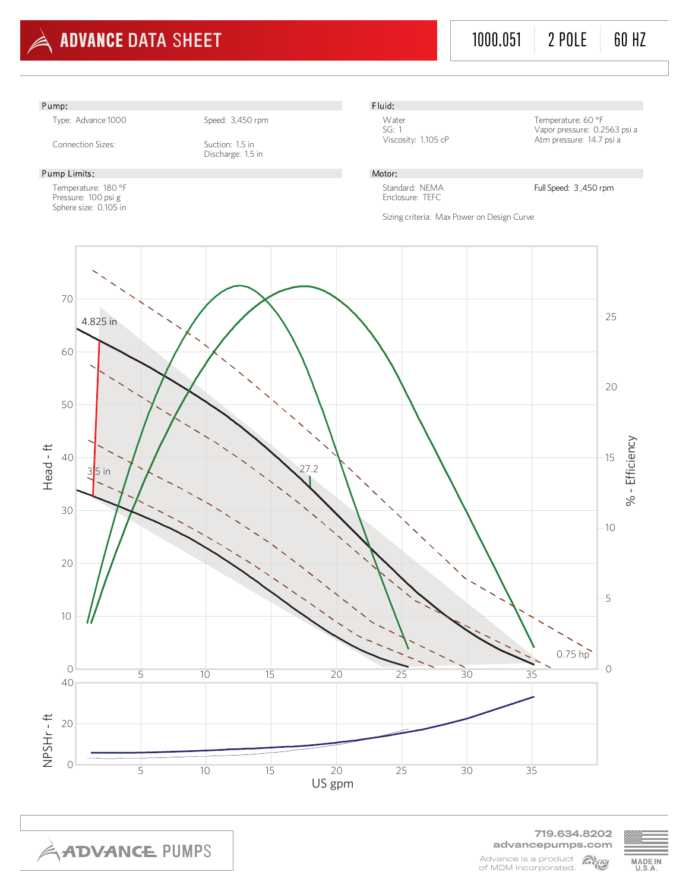

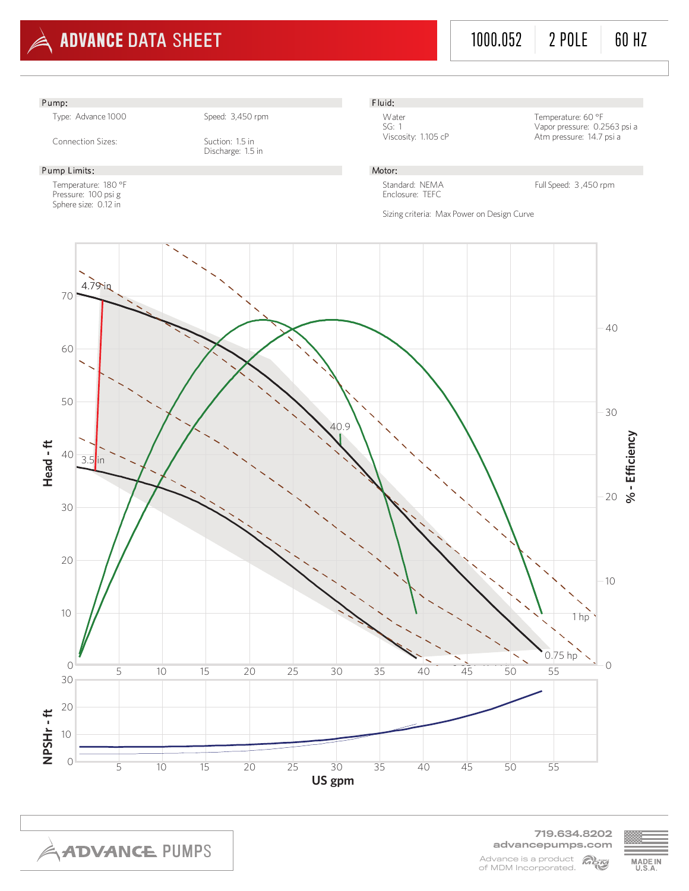



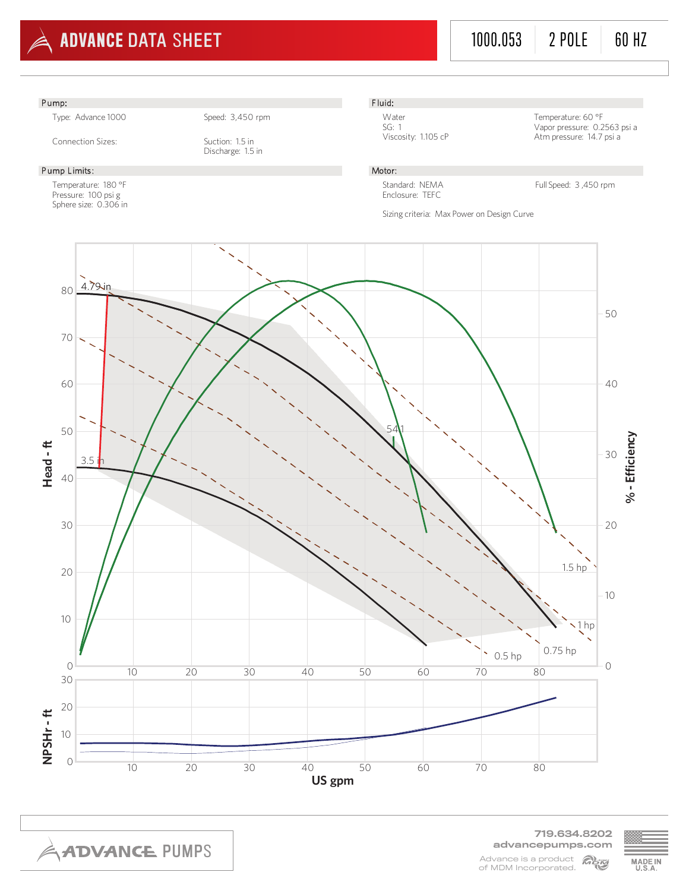

719.634.8202 advancepumps.com Advance is a product MAN of MDM Incorporated.

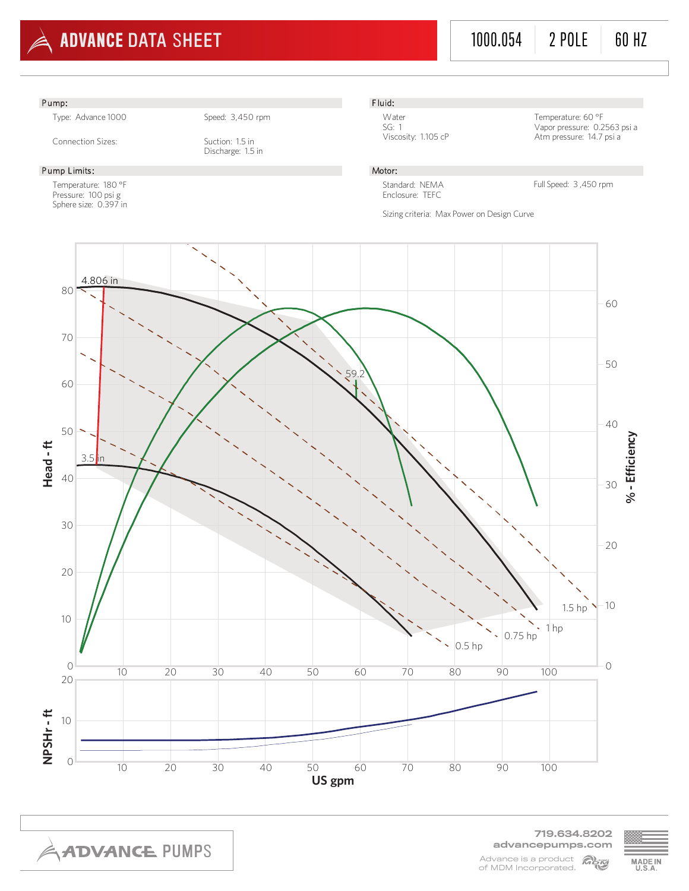

719.634.8202 advancepumps.com Advance is a product MAN of MDM Incorporated.

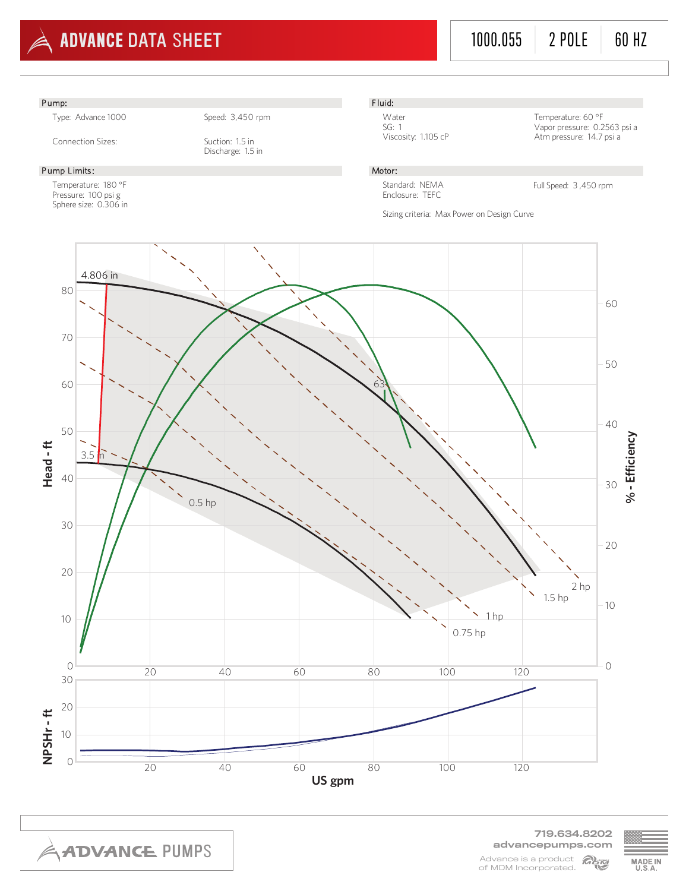

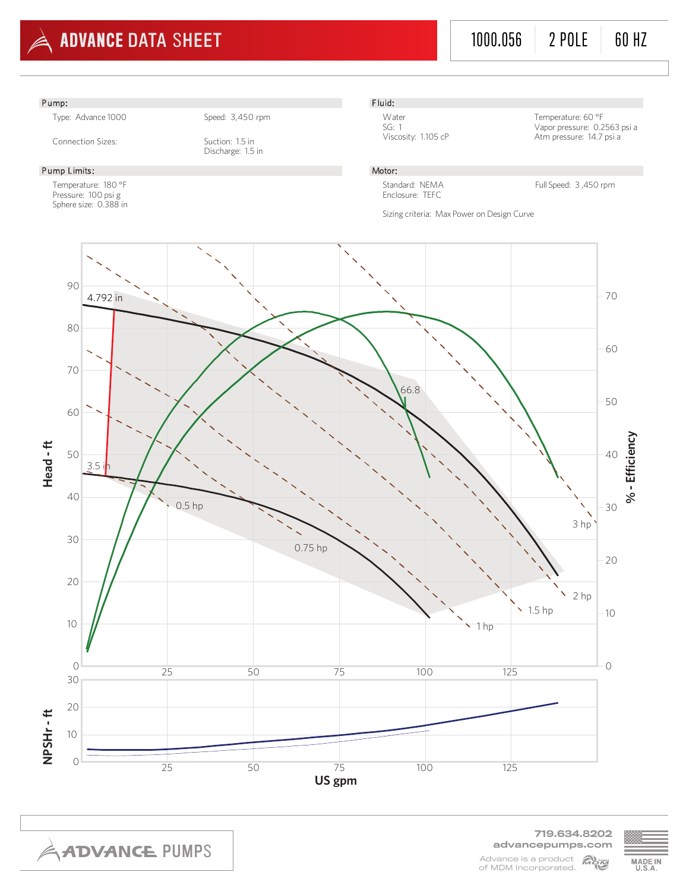

719.634.8202 advancepumps.com Advance is a product MAN of MDM Incorporated.

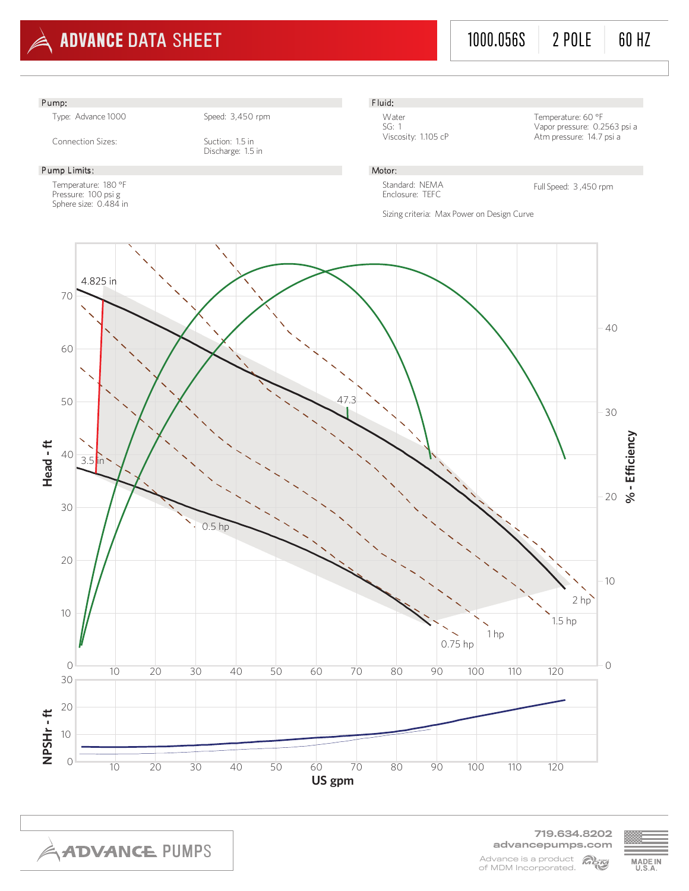

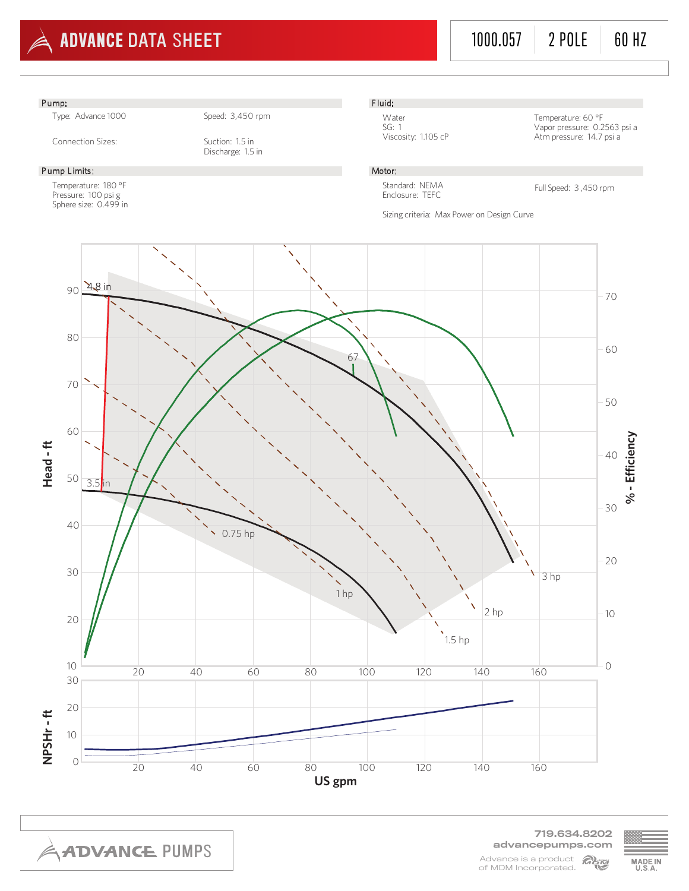

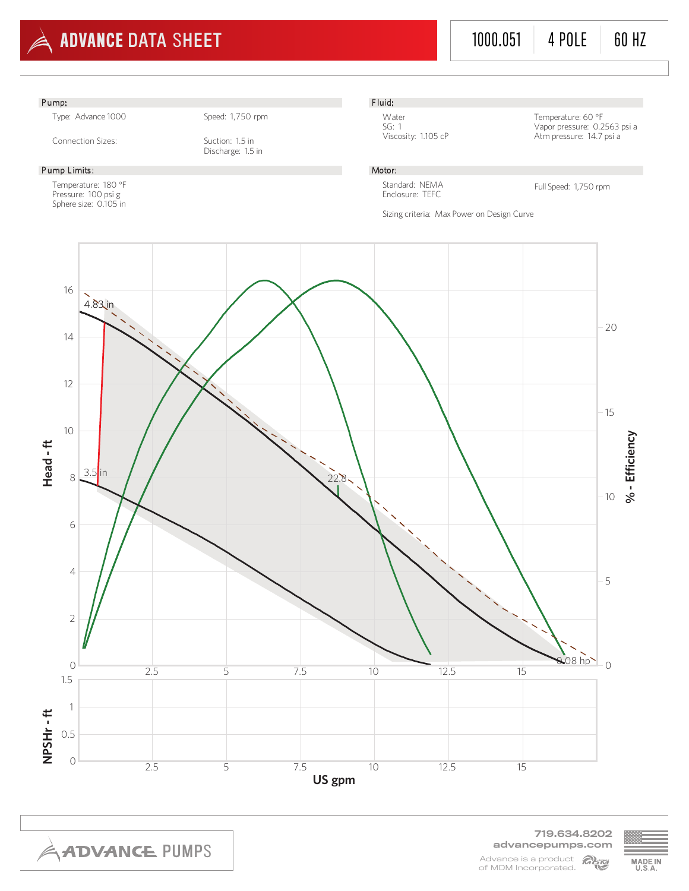

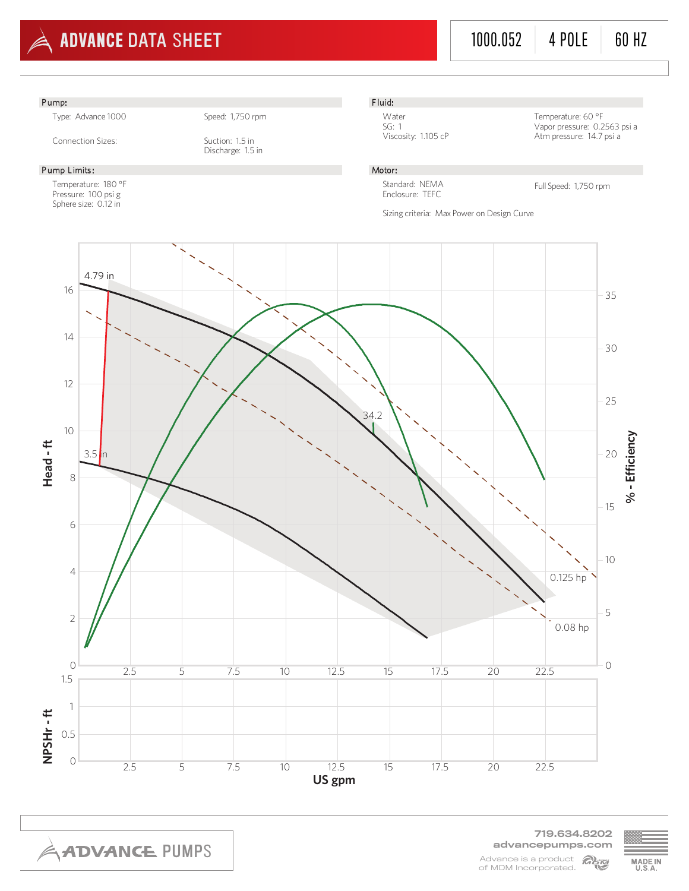



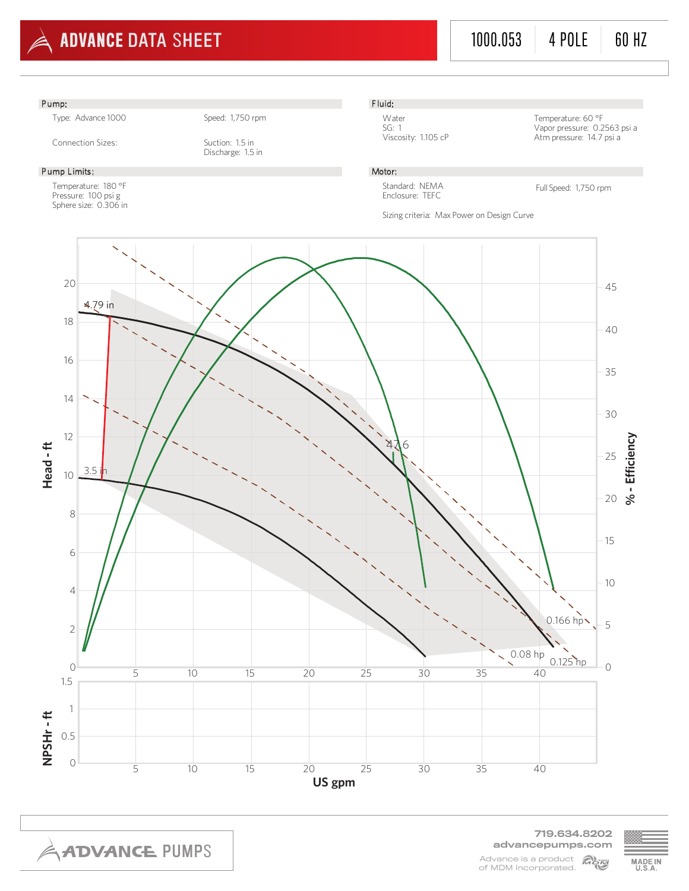

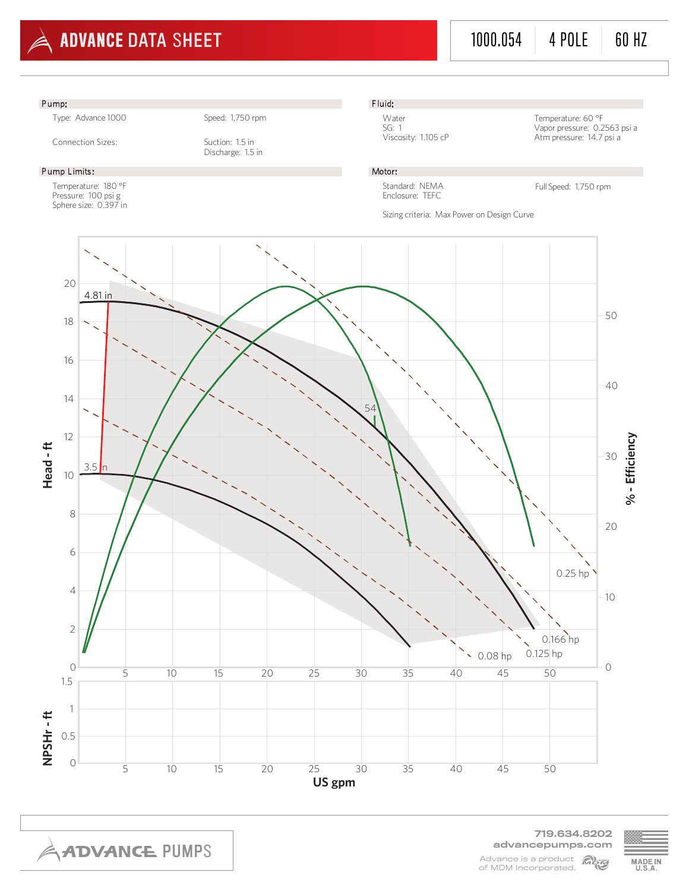

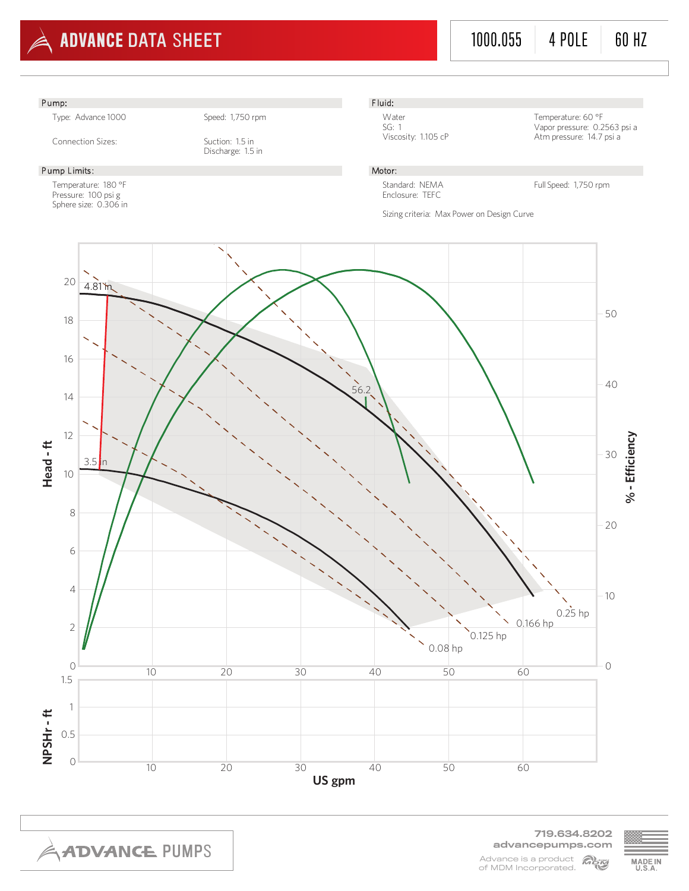

719.634.8202 advancepumps.com Advance is a product Mem of MDM Incorporated.

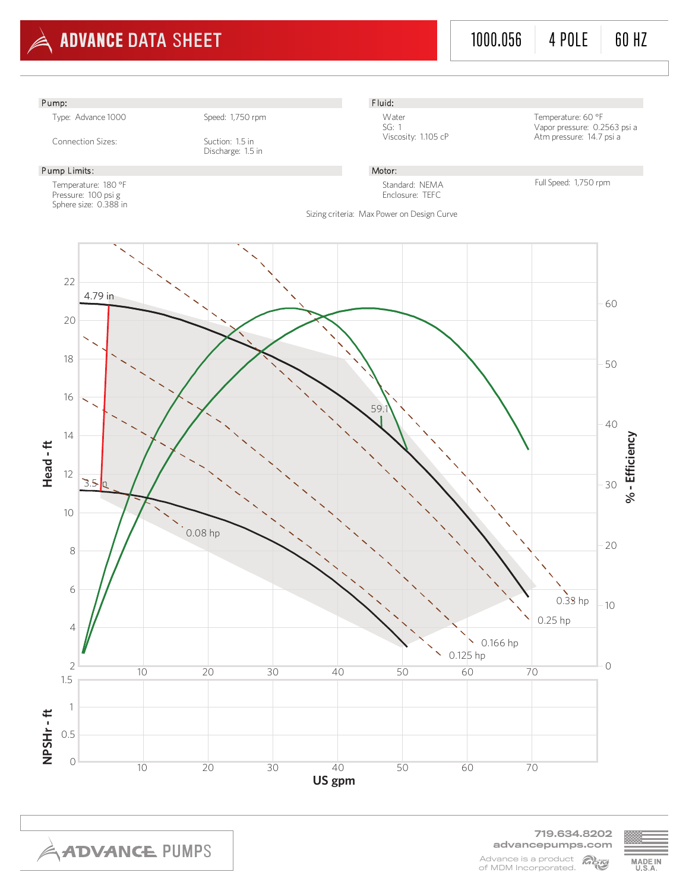

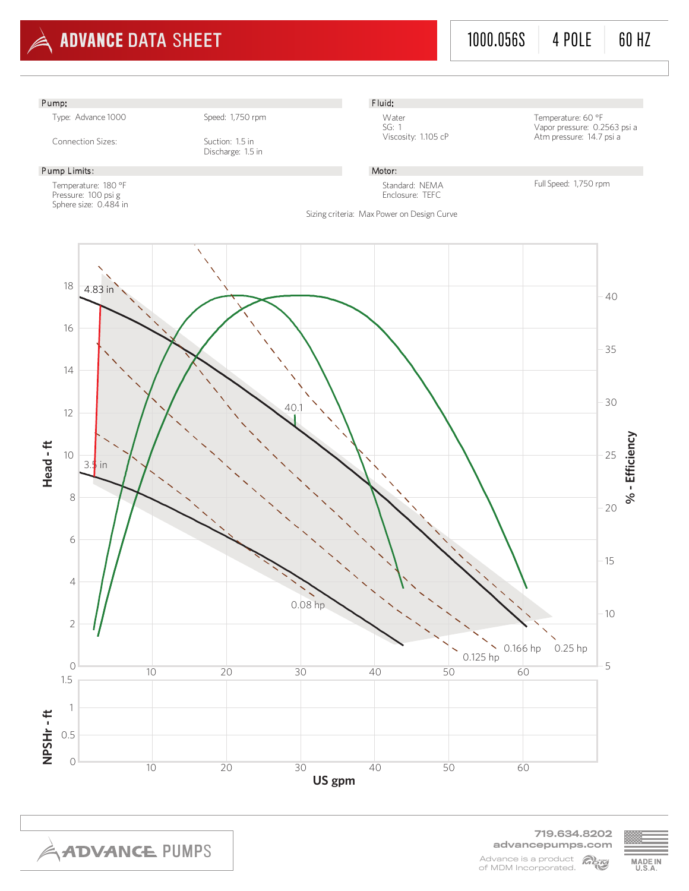